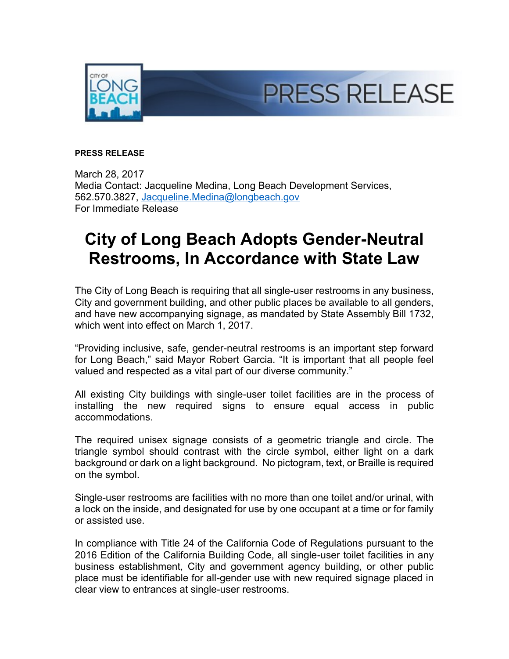

## **PRESS RELEASE**

March 28, 2017 Media Contact: Jacqueline Medina, Long Beach Development Services, 562.570.3827, [Jacqueline.Medina@longbeach.gov](mailto:Jacqueline.Medina@longbeach.gov) For Immediate Release

## **City of Long Beach Adopts Gender-Neutral Restrooms, In Accordance with State Law**

The City of Long Beach is requiring that all single-user restrooms in any business, City and government building, and other public places be available to all genders, and have new accompanying signage, as mandated by State Assembly Bill 1732, which went into effect on March 1, 2017.

"Providing inclusive, safe, gender-neutral restrooms is an important step forward for Long Beach," said Mayor Robert Garcia. "It is important that all people feel valued and respected as a vital part of our diverse community."

All existing City buildings with single-user toilet facilities are in the process of installing the new required signs to ensure equal access in public accommodations.

The required unisex signage consists of a geometric triangle and circle. The triangle symbol should contrast with the circle symbol, either light on a dark background or dark on a light background. No pictogram, text, or Braille is required on the symbol.

Single-user restrooms are facilities with no more than one toilet and/or urinal, with a lock on the inside, and designated for use by one occupant at a time or for family or assisted use.

In compliance with Title 24 of the California Code of Regulations pursuant to the 2016 Edition of the California Building Code, all single-user toilet facilities in any business establishment, City and government agency building, or other public place must be identifiable for all-gender use with new required signage placed in clear view to entrances at single-user restrooms.